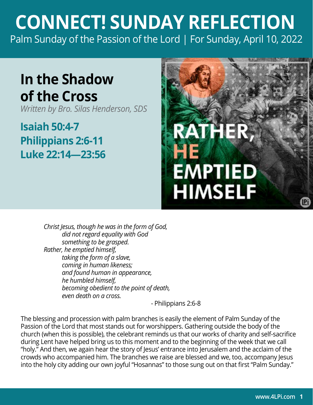## **CONNECT! SUNDAY REFLECTION** [Palm Sunday of the Passion of the Lord | For Sunday, April 10, 2022](https://bible.usccb.org/bible/readings/041022.cfm)

## **In the Shadow of the Cross**

*Written by Bro. Silas Henderson, SDS*

**Isaiah 50:4-7 Philippians 2:6-11 Luke 22:14—23:56**



*Christ Jesus, though he was in the form of God, did not regard equality with God something to be grasped. Rather, he emptied himself, taking the form of a slave, coming in human likeness; and found human in appearance, he humbled himself, becoming obedient to the point of death, even death on a cross.* 

- Philippians 2:6-8

The blessing and procession with palm branches is easily the element of Palm Sunday of the Passion of the Lord that most stands out for worshippers. Gathering outside the body of the church (when this is possible), the celebrant reminds us that our works of charity and self-sacrifice during Lent have helped bring us to this moment and to the beginning of the week that we call "holy." And then, we again hear the story of Jesus' entrance into Jerusalem and the acclaim of the crowds who accompanied him. The branches we raise are blessed and we, too, accompany Jesus into the holy city adding our own joyful "Hosannas" to those sung out on that first "Palm Sunday."